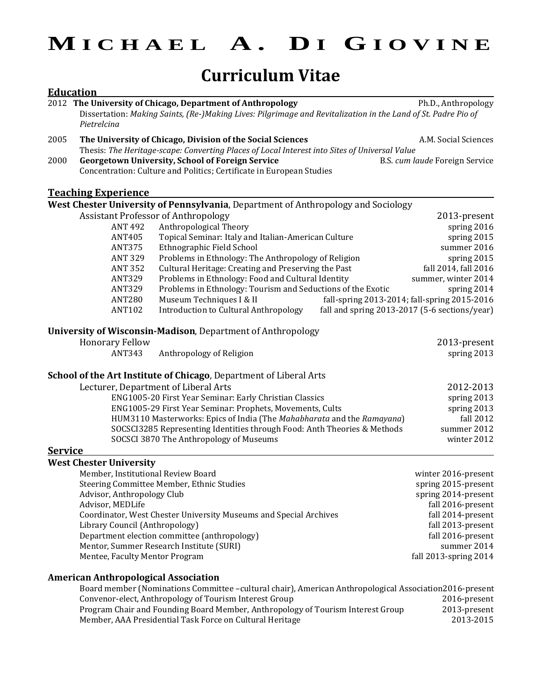**M I C H A E L A . D I G I O V I N E**

# **Curriculum Vitae**

|                | <b>Education</b>                                                                                                                                                                           |                                |
|----------------|--------------------------------------------------------------------------------------------------------------------------------------------------------------------------------------------|--------------------------------|
|                | 2012 The University of Chicago, Department of Anthropology<br>Dissertation: Making Saints, (Re-)Making Lives: Pilgrimage and Revitalization in the Land of St. Padre Pio of<br>Pietrelcina | Ph.D., Anthropology            |
| 2005           | The University of Chicago, Division of the Social Sciences                                                                                                                                 | A.M. Social Sciences           |
|                | Thesis: The Heritage-scape: Converting Places of Local Interest into Sites of Universal Value                                                                                              |                                |
| 2000           | <b>Georgetown University, School of Foreign Service</b><br>Concentration: Culture and Politics; Certificate in European Studies                                                            | B.S. cum laude Foreign Service |
|                | <b>Teaching Experience</b>                                                                                                                                                                 |                                |
|                | West Chester University of Pennsylvania, Department of Anthropology and Sociology                                                                                                          |                                |
|                | <b>Assistant Professor of Anthropology</b>                                                                                                                                                 | 2013-present                   |
|                | Anthropological Theory<br><b>ANT 492</b>                                                                                                                                                   | spring 2016                    |
|                | Topical Seminar: Italy and Italian-American Culture<br><b>ANT405</b>                                                                                                                       | spring 2015                    |
|                | Ethnographic Field School<br><b>ANT375</b>                                                                                                                                                 | summer 2016                    |
|                | <b>ANT 329</b><br>Problems in Ethnology: The Anthropology of Religion                                                                                                                      | spring 2015                    |
|                | Cultural Heritage: Creating and Preserving the Past<br><b>ANT 352</b>                                                                                                                      | fall 2014, fall 2016           |
|                | Problems in Ethnology: Food and Cultural Identity<br><b>ANT329</b>                                                                                                                         | summer, winter 2014            |
|                | Problems in Ethnology: Tourism and Seductions of the Exotic<br><b>ANT329</b>                                                                                                               | spring 2014                    |
|                | Museum Techniques I & II<br>fall-spring 2013-2014; fall-spring 2015-2016<br><b>ANT280</b>                                                                                                  |                                |
|                | <b>ANT102</b><br><b>Introduction to Cultural Anthropology</b><br>fall and spring 2013-2017 (5-6 sections/year)                                                                             |                                |
|                | University of Wisconsin-Madison, Department of Anthropology                                                                                                                                |                                |
|                | <b>Honorary Fellow</b>                                                                                                                                                                     | 2013-present                   |
|                | <b>ANT343</b><br>Anthropology of Religion                                                                                                                                                  | spring 2013                    |
|                | School of the Art Institute of Chicago, Department of Liberal Arts                                                                                                                         |                                |
|                | Lecturer, Department of Liberal Arts                                                                                                                                                       | 2012-2013                      |
|                | ENG1005-20 First Year Seminar: Early Christian Classics                                                                                                                                    | spring 2013                    |
|                | ENG1005-29 First Year Seminar: Prophets, Movements, Cults                                                                                                                                  | spring 2013                    |
|                | HUM3110 Masterworks: Epics of India (The Mahabharata and the Ramayana)                                                                                                                     | fall 2012                      |
|                | SOCSCI3285 Representing Identities through Food: Anth Theories & Methods                                                                                                                   | summer 2012                    |
|                | SOCSCI 3870 The Anthropology of Museums                                                                                                                                                    | winter 2012                    |
| <b>Service</b> |                                                                                                                                                                                            |                                |
|                | <b>West Chester University</b>                                                                                                                                                             |                                |
|                | Member, Institutional Review Board                                                                                                                                                         | winter 2016-present            |
|                | Steering Committee Member, Ethnic Studies                                                                                                                                                  | spring 2015-present            |
|                | Advisor, Anthropology Club                                                                                                                                                                 | spring 2014-present            |
|                | Advisor, MEDLife                                                                                                                                                                           | fall 2016-present              |
|                | Coordinator, West Chester University Museums and Special Archives                                                                                                                          | fall 2014-present              |
|                | Library Council (Anthropology)                                                                                                                                                             | fall 2013-present              |
|                | Department election committee (anthropology)                                                                                                                                               | fall 2016-present              |
|                | Mentor, Summer Research Institute (SURI)                                                                                                                                                   | summer 2014                    |
|                | Mentee, Faculty Mentor Program                                                                                                                                                             | fall 2013-spring 2014          |
|                | <b>American Anthropological Association</b>                                                                                                                                                |                                |
|                | Board member (Nominations Committee -cultural chair), American Anthropological Association2016-present                                                                                     |                                |
|                | Convenor-elect, Anthropology of Tourism Interest Group                                                                                                                                     | 2016-present                   |
|                | Program Chair and Founding Board Member, Anthropology of Tourism Interest Group                                                                                                            | 2013-present                   |
|                | Member, AAA Presidential Task Force on Cultural Heritage                                                                                                                                   | 2013-2015                      |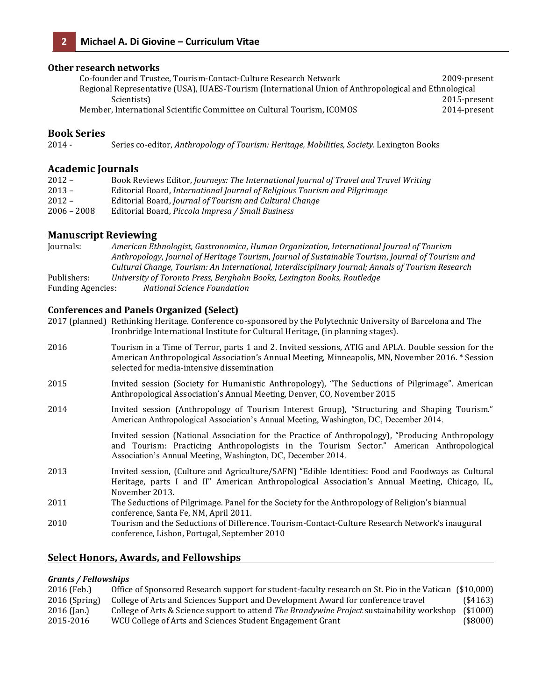### **Other research networks**

| Co-founder and Trustee. Tourism-Contact-Culture Research Network                                      | 2009-present |
|-------------------------------------------------------------------------------------------------------|--------------|
| Regional Representative (USA), IUAES-Tourism (International Union of Anthropological and Ethnological |              |
| Scientists)                                                                                           | 2015-present |
| Member, International Scientific Committee on Cultural Tourism, ICOMOS                                | 2014-present |

### **Book Series**

2014 - Series co-editor, *Anthropology of Tourism: Heritage, Mobilities, Society.* Lexington Books

### **Academic Journals**

| $2012 -$      | Book Reviews Editor, Journeys: The International Journal of Travel and Travel Writing |
|---------------|---------------------------------------------------------------------------------------|
| $2013 -$      | Editorial Board, International Journal of Religious Tourism and Pilgrimage            |
| $2012 -$      | Editorial Board, Journal of Tourism and Cultural Change                               |
| $2006 - 2008$ | Editorial Board, <i>Piccola Impresa / Small Business</i>                              |
|               |                                                                                       |

### **Manuscript Reviewing**

Journals: *American Ethnologist, Gastronomica*, *Human Organization, International Journal of Tourism Anthropology*, *Journal of Heritage Tourism*, *Journal of Sustainable Tourism*, *Journal of Tourism and Cultural Change, Tourism: An International, Interdisciplinary Journal; Annals of Tourism Research* Publishers: *University of Toronto Press, Berghahn Books, Lexington Books, Routledge* Funding Agencies: *National Science Foundation*

### **Conferences and Panels Organized (Select)**

| 2017 (planned) Rethinking Heritage. Conference co-sponsored by the Polytechnic University of Barcelona and The |
|----------------------------------------------------------------------------------------------------------------|
| Ironbridge International Institute for Cultural Heritage, (in planning stages).                                |

| 2016 | Tourism in a Time of Terror, parts 1 and 2. Invited sessions, ATIG and APLA. Double session for the<br>American Anthropological Association's Annual Meeting, Minneapolis, MN, November 2016. * Session<br>selected for media-intensive dissemination        |
|------|--------------------------------------------------------------------------------------------------------------------------------------------------------------------------------------------------------------------------------------------------------------|
| 2015 | Invited session (Society for Humanistic Anthropology), "The Seductions of Pilgrimage". American<br>Anthropological Association's Annual Meeting, Denver, CO, November 2015                                                                                   |
| 2014 | Invited session (Anthropology of Tourism Interest Group), "Structuring and Shaping Tourism."<br>American Anthropological Association's Annual Meeting, Washington, DC, December 2014.                                                                        |
|      | Invited session (National Association for the Practice of Anthropology), "Producing Anthropology<br>and Tourism: Practicing Anthropologists in the Tourism Sector." American Anthropological<br>Association's Annual Meeting, Washington, DC, December 2014. |
| 2013 | Invited session, (Culture and Agriculture/SAFN) "Edible Identities: Food and Foodways as Cultural<br>Heritage, parts I and II" American Anthropological Association's Annual Meeting, Chicago, IL,<br>November 2013.                                         |
| 2011 | The Seductions of Pilgrimage. Panel for the Society for the Anthropology of Religion's biannual<br>conference, Santa Fe, NM, April 2011.                                                                                                                     |
| 2010 | Tourism and the Seductions of Difference. Tourism-Contact-Culture Research Network's inaugural<br>conference, Lisbon, Portugal, September 2010                                                                                                               |

### **Select Honors, Awards, and Fellowships**

### *Grants / Fellowships*

| 2016 (Feb.)     | Office of Sponsored Research support for student-faculty research on St. Pio in the Vatican (\$10,000) |             |
|-----------------|--------------------------------------------------------------------------------------------------------|-------------|
| $2016$ (Spring) | College of Arts and Sciences Support and Development Award for conference travel                       | $(*4163)$   |
| $2016$ (Jan.)   | College of Arts & Science support to attend <i>The Brandywine Project</i> sustainability workshop      | $($ \$1000) |
| 2015-2016       | WCU College of Arts and Sciences Student Engagement Grant                                              | $(*8000)$   |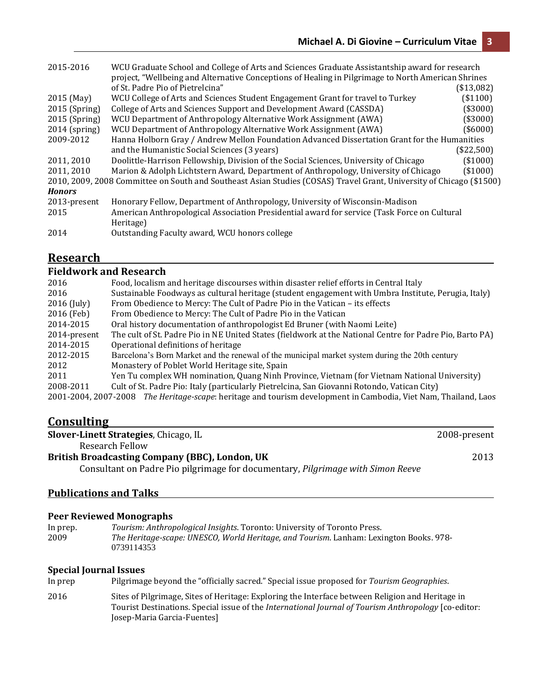| 2015-2016       | WCU Graduate School and College of Arts and Sciences Graduate Assistantship award for research                       |             |
|-----------------|----------------------------------------------------------------------------------------------------------------------|-------------|
|                 | project, "Wellbeing and Alternative Conceptions of Healing in Pilgrimage to North American Shrines                   |             |
|                 | of St. Padre Pio of Pietrelcina"                                                                                     | (\$13,082)  |
| 2015 (May)      | WCU College of Arts and Sciences Student Engagement Grant for travel to Turkey                                       | (\$1100)    |
| $2015$ (Spring) | College of Arts and Sciences Support and Development Award (CASSDA)                                                  | (\$3000)    |
| $2015$ (Spring) | WCU Department of Anthropology Alternative Work Assignment (AWA)                                                     | (\$3000)    |
| $2014$ (spring) | WCU Department of Anthropology Alternative Work Assignment (AWA)                                                     | $($ \$6000) |
| 2009-2012       | Hanna Holborn Gray / Andrew Mellon Foundation Advanced Dissertation Grant for the Humanities                         |             |
|                 | and the Humanistic Social Sciences (3 years)                                                                         | (\$22,500)  |
| 2011, 2010      | Doolittle-Harrison Fellowship, Division of the Social Sciences, University of Chicago                                | (\$1000)    |
| 2011, 2010      | Marion & Adolph Lichtstern Award, Department of Anthropology, University of Chicago                                  | $($ \$1000) |
|                 | 2010, 2009, 2008 Committee on South and Southeast Asian Studies (COSAS) Travel Grant, University of Chicago (\$1500) |             |
| <b>Honors</b>   |                                                                                                                      |             |
| 2013-present    | Honorary Fellow, Department of Anthropology, University of Wisconsin-Madison                                         |             |
| 2015            | American Anthropological Association Presidential award for service (Task Force on Cultural                          |             |
|                 | Heritage)                                                                                                            |             |
| 2014            | Outstanding Faculty award, WCU honors college                                                                        |             |

# **Research**

# **Fieldwork and Research**

| 2016         | Food, localism and heritage discourses within disaster relief efforts in Central Italy                          |
|--------------|-----------------------------------------------------------------------------------------------------------------|
| 2016         | Sustainable Foodways as cultural heritage (student engagement with Umbra Institute, Perugia, Italy)             |
| 2016 (July)  | From Obedience to Mercy: The Cult of Padre Pio in the Vatican - its effects                                     |
| 2016 (Feb)   | From Obedience to Mercy: The Cult of Padre Pio in the Vatican                                                   |
| 2014-2015    | Oral history documentation of anthropologist Ed Bruner (with Naomi Leite)                                       |
| 2014-present | The cult of St. Padre Pio in NE United States (fieldwork at the National Centre for Padre Pio, Barto PA)        |
| 2014-2015    | Operational definitions of heritage                                                                             |
| 2012-2015    | Barcelona's Born Market and the renewal of the municipal market system during the 20th century                  |
| 2012         | Monastery of Poblet World Heritage site, Spain                                                                  |
| 2011         | Yen Tu complex WH nomination, Quang Ninh Province, Vietnam (for Vietnam National University)                    |
| 2008-2011    | Cult of St. Padre Pio: Italy (particularly Pietrelcina, San Giovanni Rotondo, Vatican City)                     |
|              | 2001-2004, 2007-2008 The Heritage-scape: heritage and tourism development in Cambodia, Viet Nam, Thailand, Laos |
|              |                                                                                                                 |

# **Consulting**

| Slover-Linett Strategies, Chicago, IL                                           | 2008-present |
|---------------------------------------------------------------------------------|--------------|
| Research Fellow                                                                 |              |
| British Broadcasting Company (BBC), London, UK                                  | 2013         |
| Consultant on Padre Pio pilgrimage for documentary, Pilgrimage with Simon Reeve |              |

# **Publications and Talks**

### **Peer Reviewed Monographs**

In prep. *Tourism: Anthropological Insights*. Toronto: University of Toronto Press. 2009 *The Heritage-scape: UNESCO, World Heritage, and Tourism*. Lanham: Lexington Books. 978- 0739114353

### **Special Journal Issues**

In prep Pilgrimage beyond the "officially sacred." Special issue proposed for *Tourism Geographies*.

2016 Sites of Pilgrimage, Sites of Heritage: Exploring the Interface between Religion and Heritage in Tourist Destinations. Special issue of the *International Journal of Tourism Anthropology* [co-editor: Josep-Maria Garcia-Fuentes]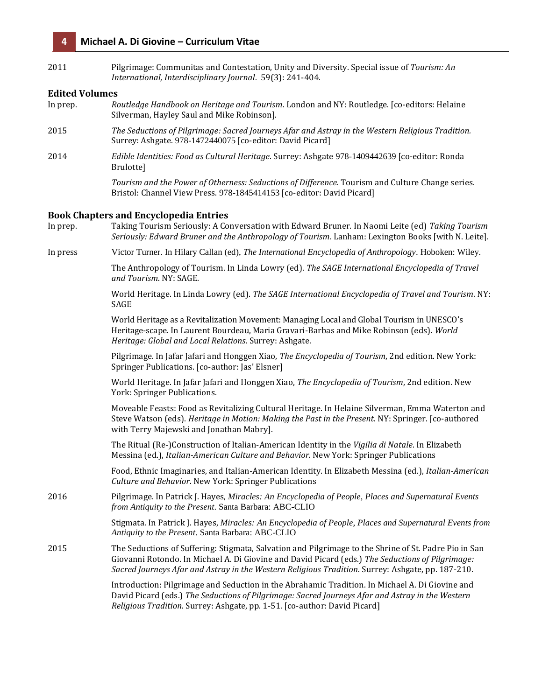| 2011                  | Pilgrimage: Communitas and Contestation, Unity and Diversity. Special issue of Tourism: An<br>International, Interdisciplinary Journal. 59(3): 241-404.                                                                                                                                                        |
|-----------------------|----------------------------------------------------------------------------------------------------------------------------------------------------------------------------------------------------------------------------------------------------------------------------------------------------------------|
| <b>Edited Volumes</b> |                                                                                                                                                                                                                                                                                                                |
| In prep.              | Routledge Handbook on Heritage and Tourism. London and NY: Routledge. [co-editors: Helaine<br>Silverman, Hayley Saul and Mike Robinson].                                                                                                                                                                       |
| 2015                  | The Seductions of Pilgrimage: Sacred Journeys Afar and Astray in the Western Religious Tradition.<br>Surrey: Ashgate. 978-1472440075 [co-editor: David Picard]                                                                                                                                                 |
| 2014                  | Edible Identities: Food as Cultural Heritage. Surrey: Ashgate 978-1409442639 [co-editor: Ronda<br>Brulotte]                                                                                                                                                                                                    |
|                       | Tourism and the Power of Otherness: Seductions of Difference. Tourism and Culture Change series.<br>Bristol: Channel View Press. 978-1845414153 [co-editor: David Picard]                                                                                                                                      |
|                       |                                                                                                                                                                                                                                                                                                                |
| In prep.              | <b>Book Chapters and Encyclopedia Entries</b><br>Taking Tourism Seriously: A Conversation with Edward Bruner. In Naomi Leite (ed) Taking Tourism<br>Seriously: Edward Bruner and the Anthropology of Tourism. Lanham: Lexington Books [with N. Leite].                                                         |
| In press              | Victor Turner. In Hilary Callan (ed), The International Encyclopedia of Anthropology. Hoboken: Wiley.                                                                                                                                                                                                          |
|                       | The Anthropology of Tourism. In Linda Lowry (ed). The SAGE International Encyclopedia of Travel<br>and Tourism. NY: SAGE.                                                                                                                                                                                      |
|                       | World Heritage. In Linda Lowry (ed). The SAGE International Encyclopedia of Travel and Tourism. NY:<br>SAGE                                                                                                                                                                                                    |
|                       | World Heritage as a Revitalization Movement: Managing Local and Global Tourism in UNESCO's<br>Heritage-scape. In Laurent Bourdeau, Maria Gravari-Barbas and Mike Robinson (eds). World<br>Heritage: Global and Local Relations. Surrey: Ashgate.                                                               |
|                       | Pilgrimage. In Jafar Jafari and Honggen Xiao, The Encyclopedia of Tourism, 2nd edition. New York:<br>Springer Publications. [co-author: Jas' Elsner]                                                                                                                                                           |
|                       | World Heritage. In Jafar Jafari and Honggen Xiao, The Encyclopedia of Tourism, 2nd edition. New<br>York: Springer Publications.                                                                                                                                                                                |
|                       | Moveable Feasts: Food as Revitalizing Cultural Heritage. In Helaine Silverman, Emma Waterton and<br>Steve Watson (eds). Heritage in Motion: Making the Past in the Present. NY: Springer. [co-authored<br>with Terry Majewski and Jonathan Mabry].                                                             |
|                       | The Ritual (Re-)Construction of Italian-American Identity in the Vigilia di Natale. In Elizabeth<br>Messina (ed.), Italian-American Culture and Behavior. New York: Springer Publications                                                                                                                      |
|                       | Food, Ethnic Imaginaries, and Italian-American Identity. In Elizabeth Messina (ed.), Italian-American<br>Culture and Behavior. New York: Springer Publications                                                                                                                                                 |
| 2016                  | Pilgrimage. In Patrick J. Hayes, Miracles: An Encyclopedia of People, Places and Supernatural Events<br>from Antiquity to the Present. Santa Barbara: ABC-CLIO                                                                                                                                                 |
|                       | Stigmata. In Patrick J. Hayes, Miracles: An Encyclopedia of People, Places and Supernatural Events from<br>Antiquity to the Present. Santa Barbara: ABC-CLIO                                                                                                                                                   |
| 2015                  | The Seductions of Suffering: Stigmata, Salvation and Pilgrimage to the Shrine of St. Padre Pio in San<br>Giovanni Rotondo. In Michael A. Di Giovine and David Picard (eds.) The Seductions of Pilgrimage:<br>Sacred Journeys Afar and Astray in the Western Religious Tradition. Surrey: Ashgate, pp. 187-210. |
|                       | Introduction: Pilgrimage and Seduction in the Abrahamic Tradition. In Michael A. Di Giovine and<br>David Picard (eds.) The Seductions of Pilgrimage: Sacred Journeys Afar and Astray in the Western<br>Religious Tradition. Surrey: Ashgate, pp. 1-51. [co-author: David Picard]                               |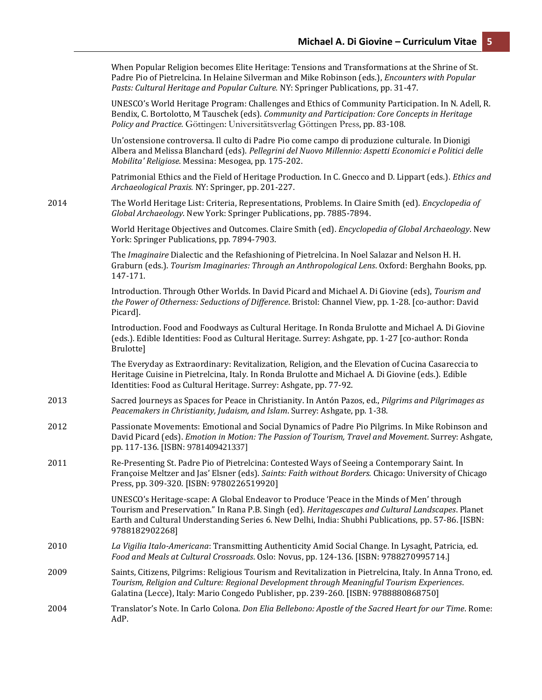|      | When Popular Religion becomes Elite Heritage: Tensions and Transformations at the Shrine of St.<br>Padre Pio of Pietrelcina. In Helaine Silverman and Mike Robinson (eds.), Encounters with Popular<br>Pasts: Cultural Heritage and Popular Culture. NY: Springer Publications, pp. 31-47.                               |
|------|--------------------------------------------------------------------------------------------------------------------------------------------------------------------------------------------------------------------------------------------------------------------------------------------------------------------------|
|      | UNESCO's World Heritage Program: Challenges and Ethics of Community Participation. In N. Adell, R.<br>Bendix, C. Bortolotto, M Tauschek (eds). Community and Participation: Core Concepts in Heritage<br>Policy and Practice. Göttingen: Universitätsverlag Göttingen Press, pp. 83-108.                                 |
|      | Un'ostensione controversa. Il culto di Padre Pio come campo di produzione culturale. In Dionigi<br>Albera and Melissa Blanchard (eds). Pellegrini del Nuovo Millennio: Aspetti Economici e Politici delle<br>Mobilita' Religiose. Messina: Mesogea, pp. 175-202.                                                         |
|      | Patrimonial Ethics and the Field of Heritage Production. In C. Gnecco and D. Lippart (eds.). Ethics and<br>Archaeological Praxis. NY: Springer, pp. 201-227.                                                                                                                                                             |
| 2014 | The World Heritage List: Criteria, Representations, Problems. In Claire Smith (ed). Encyclopedia of<br>Global Archaeology. New York: Springer Publications, pp. 7885-7894.                                                                                                                                               |
|      | World Heritage Objectives and Outcomes. Claire Smith (ed). Encyclopedia of Global Archaeology. New<br>York: Springer Publications, pp. 7894-7903.                                                                                                                                                                        |
|      | The Imaginaire Dialectic and the Refashioning of Pietrelcina. In Noel Salazar and Nelson H. H.<br>Graburn (eds.). Tourism Imaginaries: Through an Anthropological Lens. Oxford: Berghahn Books, pp.<br>147-171.                                                                                                          |
|      | Introduction. Through Other Worlds. In David Picard and Michael A. Di Giovine (eds), Tourism and<br>the Power of Otherness: Seductions of Difference. Bristol: Channel View, pp. 1-28. [co-author: David<br>Picard].                                                                                                     |
|      | Introduction. Food and Foodways as Cultural Heritage. In Ronda Brulotte and Michael A. Di Giovine<br>(eds.). Edible Identities: Food as Cultural Heritage. Surrey: Ashgate, pp. 1-27 [co-author: Ronda<br>Brulotte]                                                                                                      |
|      | The Everyday as Extraordinary: Revitalization, Religion, and the Elevation of Cucina Casareccia to<br>Heritage Cuisine in Pietrelcina, Italy. In Ronda Brulotte and Michael A. Di Giovine (eds.). Edible<br>Identities: Food as Cultural Heritage. Surrey: Ashgate, pp. 77-92.                                           |
| 2013 | Sacred Journeys as Spaces for Peace in Christianity. In Antón Pazos, ed., Pilgrims and Pilgrimages as<br>Peacemakers in Christianity, Judaism, and Islam. Surrey: Ashgate, pp. 1-38.                                                                                                                                     |
| 2012 | Passionate Movements: Emotional and Social Dynamics of Padre Pio Pilgrims. In Mike Robinson and<br>David Picard (eds). Emotion in Motion: The Passion of Tourism, Travel and Movement. Surrey: Ashgate,<br>pp. 117-136. [ISBN: 9781409421337]                                                                            |
| 2011 | Re-Presenting St. Padre Pio of Pietrelcina: Contested Ways of Seeing a Contemporary Saint. In<br>Françoise Meltzer and Jas' Elsner (eds). Saints: Faith without Borders. Chicago: University of Chicago<br>Press, pp. 309-320. [ISBN: 9780226519920]                                                                     |
|      | UNESCO's Heritage-scape: A Global Endeavor to Produce 'Peace in the Minds of Men' through<br>Tourism and Preservation." In Rana P.B. Singh (ed). Heritagescapes and Cultural Landscapes. Planet<br>Earth and Cultural Understanding Series 6. New Delhi, India: Shubhi Publications, pp. 57-86. [ISBN:<br>9788182902268] |
| 2010 | La Vigilia Italo-Americana: Transmitting Authenticity Amid Social Change. In Lysaght, Patricia, ed.<br>Food and Meals at Cultural Crossroads. Oslo: Novus, pp. 124-136. [ISBN: 9788270995714.]                                                                                                                           |
| 2009 | Saints, Citizens, Pilgrims: Religious Tourism and Revitalization in Pietrelcina, Italy. In Anna Trono, ed.<br>Tourism, Religion and Culture: Regional Development through Meaningful Tourism Experiences.<br>Galatina (Lecce), Italy: Mario Congedo Publisher, pp. 239-260. [ISBN: 9788880868750]                        |
| 2004 | Translator's Note. In Carlo Colona. Don Elia Bellebono: Apostle of the Sacred Heart for our Time. Rome:<br>AdP.                                                                                                                                                                                                          |
|      |                                                                                                                                                                                                                                                                                                                          |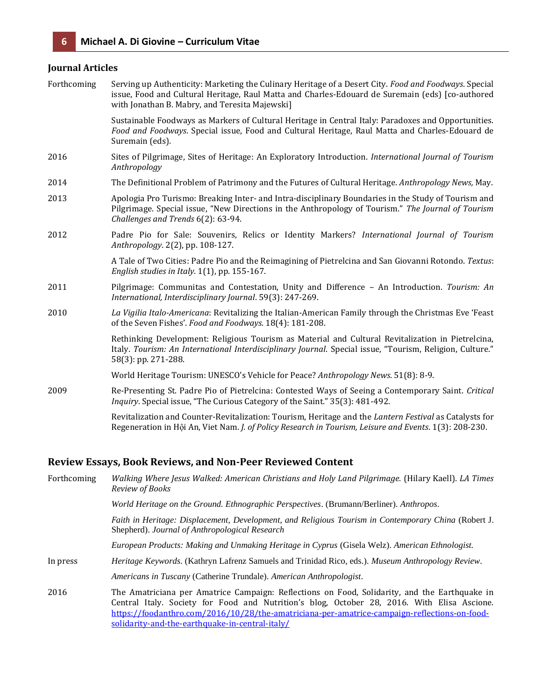### **Journal Articles**

| Forthcoming | Serving up Authenticity: Marketing the Culinary Heritage of a Desert City. Food and Foodways. Special<br>issue, Food and Cultural Heritage, Raul Matta and Charles-Edouard de Suremain (eds) [co-authored<br>with Jonathan B. Mabry, and Teresita Majewski] |
|-------------|-------------------------------------------------------------------------------------------------------------------------------------------------------------------------------------------------------------------------------------------------------------|
|             | Sustainable Foodways as Markers of Cultural Heritage in Central Italy: Paradoxes and Opportunities.<br>Food and Foodways. Special issue, Food and Cultural Heritage, Raul Matta and Charles-Edouard de<br>Suremain (eds).                                   |
| 2016        | Sites of Pilgrimage, Sites of Heritage: An Exploratory Introduction. International Journal of Tourism<br>Anthropology                                                                                                                                       |
| 2014        | The Definitional Problem of Patrimony and the Futures of Cultural Heritage. Anthropology News, May.                                                                                                                                                         |
| 2013        | Apologia Pro Turismo: Breaking Inter- and Intra-disciplinary Boundaries in the Study of Tourism and<br>Pilgrimage. Special issue, "New Directions in the Anthropology of Tourism." The Journal of Tourism<br>Challenges and Trends 6(2): 63-94.             |
| 2012        | Padre Pio for Sale: Souvenirs, Relics or Identity Markers? International Journal of Tourism<br>Anthropology. 2(2), pp. 108-127.                                                                                                                             |
|             | A Tale of Two Cities: Padre Pio and the Reimagining of Pietrelcina and San Giovanni Rotondo. Textus:<br>English studies in Italy. $1(1)$ , pp. 155-167.                                                                                                     |
| 2011        | Pilgrimage: Communitas and Contestation, Unity and Difference - An Introduction. Tourism: An<br>International, Interdisciplinary Journal. 59(3): 247-269.                                                                                                   |
| 2010        | La Vigilia Italo-Americana: Revitalizing the Italian-American Family through the Christmas Eve 'Feast<br>of the Seven Fishes'. Food and Foodways. 18(4): 181-208.                                                                                           |
|             | Rethinking Development: Religious Tourism as Material and Cultural Revitalization in Pietrelcina,<br>Italy. Tourism: An International Interdisciplinary Journal. Special issue, "Tourism, Religion, Culture."<br>58(3): pp. 271-288.                        |
|             | World Heritage Tourism: UNESCO's Vehicle for Peace? Anthropology News. 51(8): 8-9.                                                                                                                                                                          |
| 2009        | Re-Presenting St. Padre Pio of Pietrelcina: Contested Ways of Seeing a Contemporary Saint. Critical<br>Inquiry. Special issue, "The Curious Category of the Saint." 35(3): 481-492.                                                                         |
|             | Revitalization and Counter-Revitalization: Tourism, Heritage and the Lantern Festival as Catalysts for<br>Regeneration in Hội An, Viet Nam. J. of Policy Research in Tourism, Leisure and Events. 1(3): 208-230.                                            |

#### **Review Essays, Book Reviews, and Non-Peer Reviewed Content**

Forthcoming *Walking Where Jesus Walked: American Christians and Holy Land Pilgrimage.* (Hilary Kaell). *LA Times Review of Books World Heritage on the Ground. Ethnographic Perspectives*. (Brumann/Berliner). *Anthropos*. *Faith in Heritage: Displacement, Development, and Religious Tourism in Contemporary China* (Robert J. Shepherd). *Journal of Anthropological Research European Products: Making and Unmaking Heritage in Cyprus* (Gisela Welz). *American Ethnologist.* In press *Heritage Keywords*. (Kathryn Lafrenz Samuels and Trinidad Rico, eds.). *Museum Anthropology Review*. *Americans in Tuscany* (Catherine Trundale). *American Anthropologist*. 2016 The Amatriciana per Amatrice Campaign: Reflections on Food, Solidarity, and the Earthquake in Central Italy. Society for Food and Nutrition's blog, October 28, 2016. With Elisa Ascione. [https://foodanthro.com/2016/10/28/the-amatriciana-per-amatrice-campaign-reflections-on-food](https://foodanthro.com/2016/10/28/the-amatriciana-per-amatrice-campaign-reflections-on-food-solidarity-and-the-earthquake-in-central-italy/)[solidarity-and-the-earthquake-in-central-italy/](https://foodanthro.com/2016/10/28/the-amatriciana-per-amatrice-campaign-reflections-on-food-solidarity-and-the-earthquake-in-central-italy/)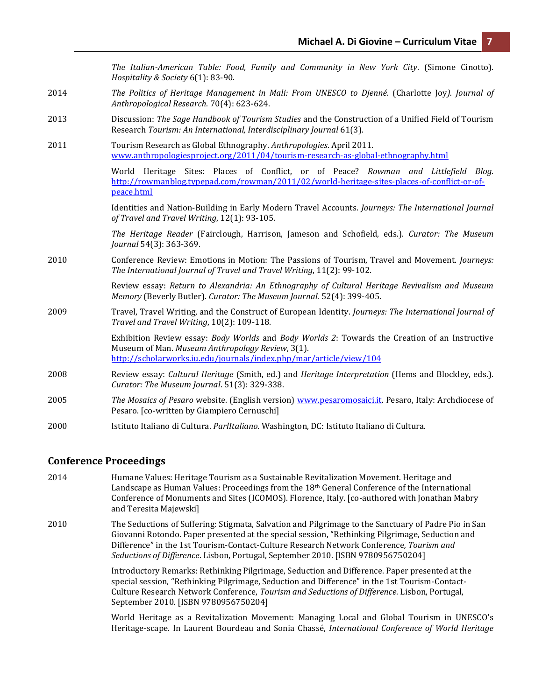*The Italian-American Table: Food, Family and Community in New York City*. (Simone Cinotto). *Hospitality & Society* 6(1): 83-90. 2014 *The Politics of Heritage Management in Mali: From UNESCO to Djenné*. (Charlotte Joy*). Journal of Anthropological Research*. 70(4): 623-624. 2013 Discussion: *The Sage Handbook of Tourism Studies* and the Construction of a Unified Field of Tourism Research *Tourism: An International, Interdisciplinary Journal* 61(3). 2011 Tourism Research as Global Ethnography. *Anthropologies*. April 2011. [www.anthropologiesproject.org/2011/04/tourism-research-as-global-ethnography.html](http://www.anthropologiesproject.org/2011/04/tourism-research-as-global-ethnography.html) World Heritage Sites: Places of Conflict, or of Peace? *Rowman and Littlefield Blog*. [http://rowmanblog.typepad.com/rowman/2011/02/world-heritage-sites-places-of-conflict-or-of](http://rowmanblog.typepad.com/rowman/2011/02/world-heritage-sites-places-of-conflict-or-of-peace.html)[peace.html](http://rowmanblog.typepad.com/rowman/2011/02/world-heritage-sites-places-of-conflict-or-of-peace.html) Identities and Nation-Building in Early Modern Travel Accounts. *Journeys: The International Journal of Travel and Travel Writing*, 12(1): 93-105. *The Heritage Reader* (Fairclough, Harrison, Jameson and Schofield, eds.). *Curator: The Museum Journal* 54(3): 363-369. 2010 Conference Review: Emotions in Motion: The Passions of Tourism, Travel and Movement. *Journeys: The International Journal of Travel and Travel Writing*, 11(2): 99-102. Review essay: *Return to Alexandria: An Ethnography of Cultural Heritage Revivalism and Museum Memory* (Beverly Butler)*. Curator: The Museum Journal.* 52(4): 399-405. 2009 Travel, Travel Writing, and the Construct of European Identity. *Journeys: The International Journal of Travel and Travel Writing*, 10(2): 109-118. Exhibition Review essay: *Body Worlds* and *Body Worlds 2*: Towards the Creation of an Instructive Museum of Man. *Museum Anthropology Review*, 3(1). <http://scholarworks.iu.edu/journals/index.php/mar/article/view/104> 2008 Review essay: *Cultural Heritage* (Smith, ed.) and *Heritage Interpretation* (Hems and Blockley, eds.). *Curator: The Museum Journal*. 51(3): 329-338. 2005 *The Mosaics of Pesaro* website. (English version) [www.pesaromosaici.it.](http://www.pesaromosaici.it/) Pesaro, Italy: Archdiocese of Pesaro. [co-written by Giampiero Cernuschi] 2000 Istituto Italiano di Cultura. *ParlItaliano.* Washington, DC: Istituto Italiano di Cultura.

### **Conference Proceedings**

2014 Humane Values: Heritage Tourism as a Sustainable Revitalization Movement. Heritage and Landscape as Human Values: Proceedings from the 18<sup>th</sup> General Conference of the International Conference of Monuments and Sites (ICOMOS). Florence, Italy. [co-authored with Jonathan Mabry and Teresita Majewski]

2010 The Seductions of Suffering: Stigmata, Salvation and Pilgrimage to the Sanctuary of Padre Pio in San Giovanni Rotondo. Paper presented at the special session, "Rethinking Pilgrimage, Seduction and Difference" in the 1st Tourism-Contact-Culture Research Network Conference*, Tourism and Seductions of Difference*. Lisbon, Portugal, September 2010. [ISBN 9780956750204]

> Introductory Remarks: Rethinking Pilgrimage, Seduction and Difference. Paper presented at the special session, "Rethinking Pilgrimage, Seduction and Difference" in the 1st Tourism-Contact-Culture Research Network Conference, *Tourism and Seductions of Difference*. Lisbon, Portugal, September 2010. [ISBN 9780956750204]

World Heritage as a Revitalization Movement: Managing Local and Global Tourism in UNESCO's Heritage-scape. In Laurent Bourdeau and Sonia Chassé, *International Conference of World Heritage*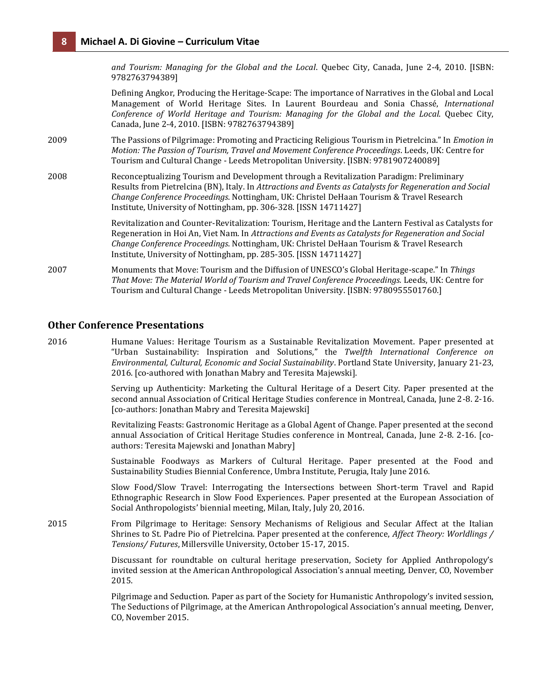*and Tourism: Managing for the Global and the Local*. Quebec City, Canada, June 2-4, 2010. [ISBN: 9782763794389]

Defining Angkor, Producing the Heritage-Scape: The importance of Narratives in the Global and Local Management of World Heritage Sites. In Laurent Bourdeau and Sonia Chassé, *International Conference of World Heritage and Tourism: Managing for the Global and the Local*. Quebec City, Canada, June 2-4, 2010. [ISBN: 9782763794389]

2009 The Passions of Pilgrimage: Promoting and Practicing Religious Tourism in Pietrelcina." In *Emotion in Motion: The Passion of Tourism, Travel and Movement Conference Proceedings*. Leeds, UK: Centre for Tourism and Cultural Change - Leeds Metropolitan University. [ISBN: 9781907240089]

2008 Reconceptualizing Tourism and Development through a Revitalization Paradigm: Preliminary Results from Pietrelcina (BN), Italy. In *Attractions and Events as Catalysts for Regeneration and Social Change Conference Proceedings*. Nottingham, UK: Christel DeHaan Tourism & Travel Research Institute, University of Nottingham, pp. 306-328. [ISSN 14711427]

> Revitalization and Counter-Revitalization: Tourism, Heritage and the Lantern Festival as Catalysts for Regeneration in Hoi An, Viet Nam. In *Attractions and Events as Catalysts for Regeneration and Social Change Conference Proceedings*. Nottingham, UK: Christel DeHaan Tourism & Travel Research Institute, University of Nottingham, pp. 285-305. [ISSN 14711427]

2007 Monuments that Move: Tourism and the Diffusion of UNESCO's Global Heritage-scape." In *Things That Move: The Material World of Tourism and Travel Conference Proceedings.* Leeds, UK: Centre for Tourism and Cultural Change - Leeds Metropolitan University. [ISBN: 9780955501760.]

### **Other Conference Presentations**

2016 Humane Values: Heritage Tourism as a Sustainable Revitalization Movement. Paper presented at "Urban Sustainability: Inspiration and Solutions," the *Twelfth International Conference on Environmental, Cultural, Economic and Social Sustainability*. Portland State University, January 21-23, 2016. [co-authored with Jonathan Mabry and Teresita Majewski].

> Serving up Authenticity: Marketing the Cultural Heritage of a Desert City. Paper presented at the second annual Association of Critical Heritage Studies conference in Montreal, Canada, June 2-8. 2-16. [co-authors: Jonathan Mabry and Teresita Majewski]

> Revitalizing Feasts: Gastronomic Heritage as a Global Agent of Change. Paper presented at the second annual Association of Critical Heritage Studies conference in Montreal, Canada, June 2-8. 2-16. [coauthors: Teresita Majewski and Jonathan Mabry]

> Sustainable Foodways as Markers of Cultural Heritage. Paper presented at the Food and Sustainability Studies Biennial Conference, Umbra Institute, Perugia, Italy June 2016.

> Slow Food/Slow Travel: Interrogating the Intersections between Short-term Travel and Rapid Ethnographic Research in Slow Food Experiences. Paper presented at the European Association of Social Anthropologists' biennial meeting, Milan, Italy, July 20, 2016.

2015 From Pilgrimage to Heritage: Sensory Mechanisms of Religious and Secular Affect at the Italian Shrines to St. Padre Pio of Pietrelcina. Paper presented at the conference, *Affect Theory: Worldlings / Tensions/ Futures*, Millersville University, October 15-17, 2015.

> Discussant for roundtable on cultural heritage preservation, Society for Applied Anthropology's invited session at the American Anthropological Association's annual meeting, Denver, CO, November 2015.

> Pilgrimage and Seduction. Paper as part of the Society for Humanistic Anthropology's invited session, The Seductions of Pilgrimage, at the American Anthropological Association's annual meeting, Denver, CO, November 2015.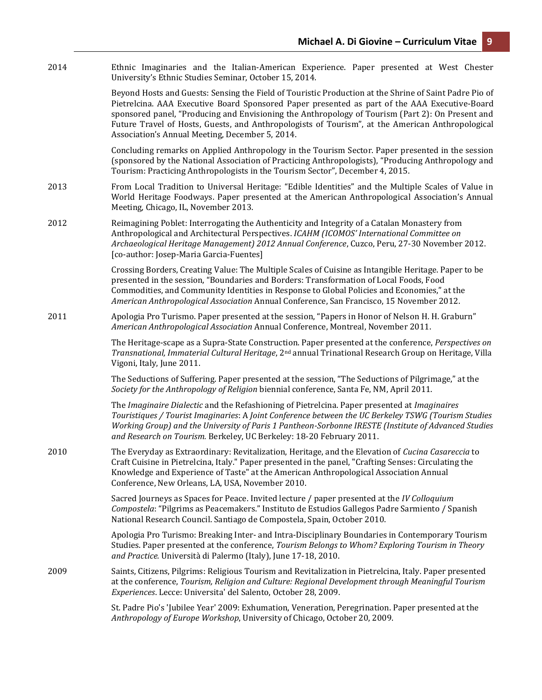2014 Ethnic Imaginaries and the Italian-American Experience. Paper presented at West Chester University's Ethnic Studies Seminar, October 15, 2014.

> Beyond Hosts and Guests: Sensing the Field of Touristic Production at the Shrine of Saint Padre Pio of Pietrelcina. AAA Executive Board Sponsored Paper presented as part of the AAA Executive-Board sponsored panel, "Producing and Envisioning the Anthropology of Tourism (Part 2): On Present and Future Travel of Hosts, Guests, and Anthropologists of Tourism", at the American Anthropological Association's Annual Meeting, December 5, 2014.

> Concluding remarks on Applied Anthropology in the Tourism Sector. Paper presented in the session (sponsored by the National Association of Practicing Anthropologists), "Producing Anthropology and Tourism: Practicing Anthropologists in the Tourism Sector", December 4, 2015.

- 2013 From Local Tradition to Universal Heritage: "Edible Identities" and the Multiple Scales of Value in World Heritage Foodways. Paper presented at the American Anthropological Association's Annual Meeting, Chicago, IL, November 2013.
- 2012 Reimagining Poblet: Interrogating the Authenticity and Integrity of a Catalan Monastery from Anthropological and Architectural Perspectives. *ICAHM (ICOMOS' International Committee on Archaeological Heritage Management) 2012 Annual Conference*, Cuzco, Peru, 27-30 November 2012. [co-author: Josep-Maria Garcia-Fuentes]

Crossing Borders, Creating Value: The Multiple Scales of Cuisine as Intangible Heritage. Paper to be presented in the session, "Boundaries and Borders: Transformation of Local Foods, Food Commodities, and Community Identities in Response to Global Policies and Economies," at the *American Anthropological Association* Annual Conference, San Francisco, 15 November 2012.

2011 Apologia Pro Turismo. Paper presented at the session, "Papers in Honor of Nelson H. H. Graburn" *American Anthropological Association* Annual Conference, Montreal, November 2011.

> The Heritage-scape as a Supra-State Construction. Paper presented at the conference, *Perspectives on Transnational, Immaterial Cultural Heritage*, 2nd annual Trinational Research Group on Heritage, Villa Vigoni, Italy, June 2011.

The Seductions of Suffering. Paper presented at the session, "The Seductions of Pilgrimage," at the *Society for the Anthropology of Religion* biennial conference, Santa Fe, NM, April 2011.

The *Imaginaire Dialectic* and the Refashioning of Pietrelcina. Paper presented at *Imaginaires Touristiques / Tourist Imaginaries*: A *Joint Conference between the UC Berkeley TSWG (Tourism Studies Working Group) and the University of Paris 1 Pantheon-Sorbonne IRESTE (Institute of Advanced Studies and Research on Tourism.* Berkeley, UC Berkeley: 18-20 February 2011.

2010 The Everyday as Extraordinary: Revitalization, Heritage, and the Elevation of *Cucina Casareccia* to Craft Cuisine in Pietrelcina, Italy." Paper presented in the panel, "Crafting Senses: Circulating the Knowledge and Experience of Taste" at the American Anthropological Association Annual Conference, New Orleans, LA, USA, November 2010.

> Sacred Journeys as Spaces for Peace. Invited lecture / paper presented at the *IV Colloquium Compostela*: "Pilgrims as Peacemakers." Instituto de Estudios Gallegos Padre Sarmiento / Spanish National Research Council. Santiago de Compostela, Spain, October 2010.

Apologia Pro Turismo: Breaking Inter- and Intra-Disciplinary Boundaries in Contemporary Tourism Studies. Paper presented at the conference, *Tourism Belongs to Whom? Exploring Tourism in Theory and Practice.* Università di Palermo (Italy), June 17-18, 2010.

2009 Saints, Citizens, Pilgrims: Religious Tourism and Revitalization in Pietrelcina, Italy. Paper presented at the conference, *Tourism, Religion and Culture: Regional Development through Meaningful Tourism Experiences*. Lecce: Universita' del Salento, October 28, 2009.

> St. Padre Pio's 'Jubilee Year' 2009: Exhumation, Veneration, Peregrination. Paper presented at the *Anthropology of Europe Workshop*, University of Chicago, October 20, 2009.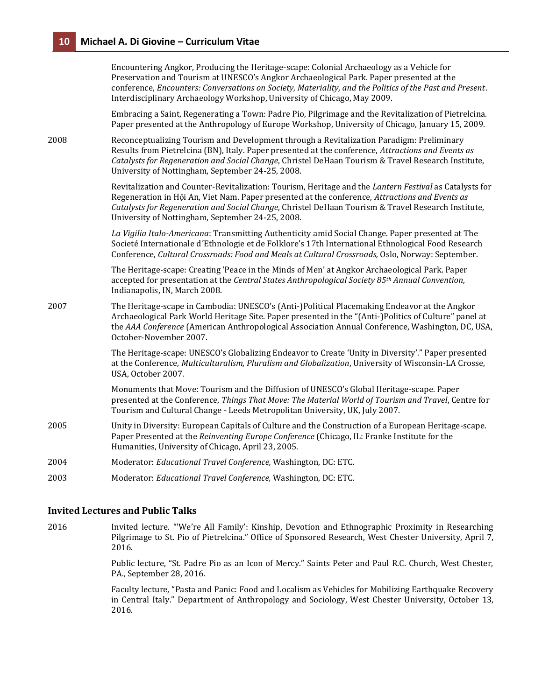|      | Encountering Angkor, Producing the Heritage-scape: Colonial Archaeology as a Vehicle for<br>Preservation and Tourism at UNESCO's Angkor Archaeological Park. Paper presented at the<br>conference, Encounters: Conversations on Society, Materiality, and the Politics of the Past and Present.<br>Interdisciplinary Archaeology Workshop, University of Chicago, May 2009. |
|------|-----------------------------------------------------------------------------------------------------------------------------------------------------------------------------------------------------------------------------------------------------------------------------------------------------------------------------------------------------------------------------|
|      | Embracing a Saint, Regenerating a Town: Padre Pio, Pilgrimage and the Revitalization of Pietrelcina.<br>Paper presented at the Anthropology of Europe Workshop, University of Chicago, January 15, 2009.                                                                                                                                                                    |
| 2008 | Reconceptualizing Tourism and Development through a Revitalization Paradigm: Preliminary<br>Results from Pietrelcina (BN), Italy. Paper presented at the conference, Attractions and Events as<br>Catalysts for Regeneration and Social Change, Christel DeHaan Tourism & Travel Research Institute,<br>University of Nottingham, September 24-25, 2008.                    |
|      | Revitalization and Counter-Revitalization: Tourism, Heritage and the Lantern Festival as Catalysts for<br>Regeneration in Hội An, Viet Nam. Paper presented at the conference, Attractions and Events as<br>Catalysts for Regeneration and Social Change, Christel DeHaan Tourism & Travel Research Institute,<br>University of Nottingham, September 24-25, 2008.          |
|      | La Vigilia Italo-Americana: Transmitting Authenticity amid Social Change. Paper presented at The<br>Societé Internationale d'Ethnologie et de Folklore's 17th International Ethnological Food Research<br>Conference, Cultural Crossroads: Food and Meals at Cultural Crossroads, Oslo, Norway: September.                                                                  |
|      | The Heritage-scape: Creating 'Peace in the Minds of Men' at Angkor Archaeological Park. Paper<br>accepted for presentation at the Central States Anthropological Society 85th Annual Convention,<br>Indianapolis, IN, March 2008.                                                                                                                                           |
| 2007 | The Heritage-scape in Cambodia: UNESCO's (Anti-)Political Placemaking Endeavor at the Angkor<br>Archaeological Park World Heritage Site. Paper presented in the "(Anti-)Politics of Culture" panel at<br>the AAA Conference (American Anthropological Association Annual Conference, Washington, DC, USA,<br>October-November 2007.                                         |
|      | The Heritage-scape: UNESCO's Globalizing Endeavor to Create 'Unity in Diversity'." Paper presented<br>at the Conference, Multiculturalism, Pluralism and Globalization, University of Wisconsin-LA Crosse,<br>USA, October 2007.                                                                                                                                            |
|      | Monuments that Move: Tourism and the Diffusion of UNESCO's Global Heritage-scape. Paper<br>presented at the Conference, Things That Move: The Material World of Tourism and Travel, Centre for<br>Tourism and Cultural Change - Leeds Metropolitan University, UK, July 2007.                                                                                               |
| 2005 | Unity in Diversity: European Capitals of Culture and the Construction of a European Heritage-scape.<br>Paper Presented at the Reinventing Europe Conference (Chicago, IL: Franke Institute for the<br>Humanities, University of Chicago, April 23, 2005.                                                                                                                    |
| 2004 | Moderator: Educational Travel Conference, Washington, DC: ETC.                                                                                                                                                                                                                                                                                                              |
| 2003 | Moderator: Educational Travel Conference, Washington, DC: ETC.                                                                                                                                                                                                                                                                                                              |

### **Invited Lectures and Public Talks**

2016 Invited lecture. "'We're All Family': Kinship, Devotion and Ethnographic Proximity in Researching Pilgrimage to St. Pio of Pietrelcina." Office of Sponsored Research, West Chester University, April 7, 2016.

> Public lecture, "St. Padre Pio as an Icon of Mercy." Saints Peter and Paul R.C. Church, West Chester, PA., September 28, 2016.

> Faculty lecture, "Pasta and Panic: Food and Localism as Vehicles for Mobilizing Earthquake Recovery in Central Italy." Department of Anthropology and Sociology, West Chester University, October 13, 2016.